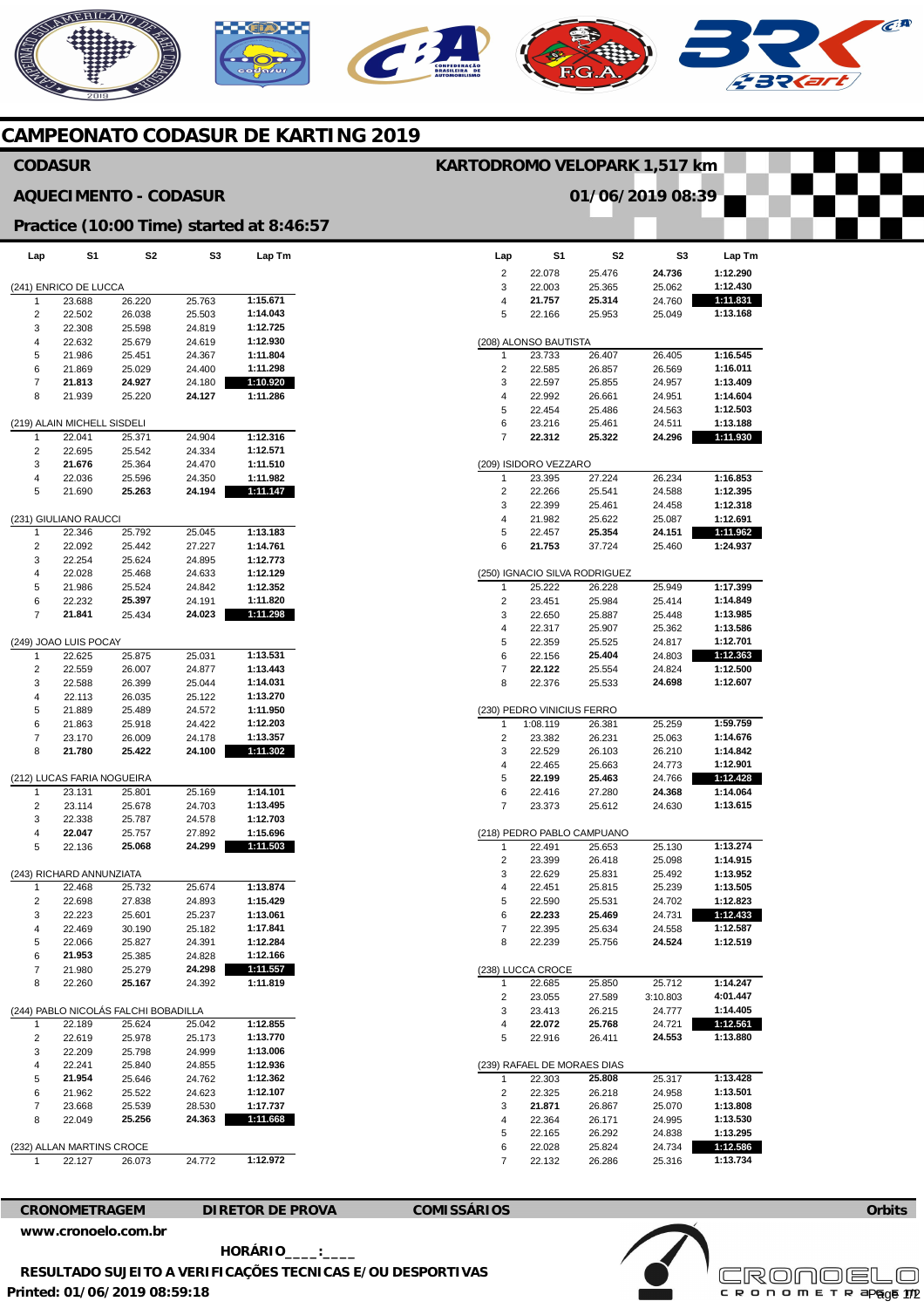## **KEHICANO**

## **CAMPEONATO CODASUR DE KARTING 2019**

### **CODASUR**

### **AQUECIMENTO - CODASUR**

## **KARTODROMO VELOPARK 1,517 km**

**01/06/2019 08:39** 

 $\widehat{C}^{A}$ 

## **Practice (10:00 Time) started at 8:46:57**

| Lap                                  | S1                         | S2               | S3               | Lap Tm               |  |  |  |
|--------------------------------------|----------------------------|------------------|------------------|----------------------|--|--|--|
|                                      |                            |                  |                  |                      |  |  |  |
| 1                                    | (241) ENRICO DE LUCCA      |                  | 25.763           | 1:15.671             |  |  |  |
| 2                                    | 23.688<br>22.502           | 26.220<br>26.038 | 25.503           | 1:14.043             |  |  |  |
| 3                                    | 22.308                     | 25.598           | 24.819           | 1:12.725             |  |  |  |
| 4                                    | 22.632                     | 25.679           | 24.619           | 1:12.930             |  |  |  |
| 5                                    | 21.986                     | 25.451           | 24.367           | 1:11.804             |  |  |  |
| 6                                    | 21.869                     | 25.029           | 24.400           | 1:11.298             |  |  |  |
| 7                                    | 21.813                     | 24.927           | 24.180           | 1:10.920             |  |  |  |
| 8                                    | 21.939                     | 25.220           | 24.127           | 1:11.286             |  |  |  |
| (219) ALAIN MICHELL SISDELI          |                            |                  |                  |                      |  |  |  |
| 1                                    | 22.041                     | 25.371           | 24.904           | 1:12.316             |  |  |  |
| 2                                    | 22.695                     | 25.542           | 24.334           | 1:12.571             |  |  |  |
| 3                                    | 21.676                     | 25.364           | 24.470           | 1:11.510             |  |  |  |
| 4                                    | 22.036                     | 25.596           | 24.350           | 1:11.982             |  |  |  |
| 5                                    | 21.690                     | 25.263           | 24.194           | 1:11.147             |  |  |  |
| (231) GIULIANO RAUCCI                |                            |                  |                  |                      |  |  |  |
| 1                                    | 22.346                     | 25.792           | 25.045           | 1:13.183             |  |  |  |
| 2                                    | 22.092                     | 25.442           | 27.227           | 1:14.761             |  |  |  |
| 3                                    | 22.254                     | 25.624           | 24.895           | 1:12.773             |  |  |  |
| 4                                    | 22.028                     | 25.468           | 24.633           | 1:12.129             |  |  |  |
| 5                                    | 21.986                     | 25.524           | 24.842           | 1:12.352             |  |  |  |
| 6                                    | 22.232                     | 25.397           | 24.191           | 1:11.820             |  |  |  |
| 7                                    | 21.841                     | 25.434           | 24.023           | 1:11.298             |  |  |  |
| (249) JOAO LUIS POCAY                |                            |                  |                  |                      |  |  |  |
| 1                                    | 22.625                     | 25.875           | 25.031           | 1:13.531             |  |  |  |
| 2                                    | 22.559                     | 26.007           | 24.877           | 1:13.443             |  |  |  |
| 3                                    | 22.588                     | 26.399           | 25.044           | 1:14.031             |  |  |  |
| 4                                    | 22.113                     | 26.035           | 25.122           | 1:13.270             |  |  |  |
| 5                                    | 21.889                     | 25.489           | 24.572           | 1:11.950             |  |  |  |
| 6                                    | 21.863                     | 25.918           | 24.422           | 1:12.203             |  |  |  |
| 7<br>8                               | 23.170<br>21.780           | 26.009<br>25.422 | 24.178<br>24.100 | 1:13.357<br>1:11.302 |  |  |  |
|                                      |                            |                  |                  |                      |  |  |  |
|                                      | (212) LUCAS FARIA NOGUEIRA |                  |                  |                      |  |  |  |
| 1                                    | 23.131                     | 25.801           | 25.169           | 1:14.101             |  |  |  |
| 2                                    | 23.114                     | 25.678           | 24.703           | 1:13.495             |  |  |  |
| 3<br>4                               | 22.338<br>22.047           | 25.787           | 24.578<br>27.892 | 1:12.703<br>1:15.696 |  |  |  |
| 5                                    | 22.136                     | 25.757<br>25.068 | 24.299           | 1:11.503             |  |  |  |
|                                      |                            |                  |                  |                      |  |  |  |
| (243) RICHARD ANNUNZIATA             |                            |                  |                  |                      |  |  |  |
| 1                                    | 22.468                     | 25.732           | 25.674           | 1:13.874<br>1:15.429 |  |  |  |
| 2<br>3                               | 22.698<br>22.223           | 27.838<br>25.601 | 24.893<br>25.237 | 1:13.061             |  |  |  |
| 4                                    | 22.469                     | 30.190           | 25.182           | 1:17.841             |  |  |  |
| 5                                    | 22.066                     | 25.827           | 24.391           | 1:12.284             |  |  |  |
| 6                                    | 21.953                     | 25.385           | 24.828           | 1:12.166             |  |  |  |
| 7                                    | 21.980                     | 25.279           | 24.298           | 1:11.557             |  |  |  |
| 8                                    | 22.260                     | 25.167           | 24.392           | 1:11.819             |  |  |  |
| (244) PABLO NICOLÁS FALCHI BOBADILLA |                            |                  |                  |                      |  |  |  |
| 1                                    | 22.189                     | 25.624           | 25.042           | 1:12.855             |  |  |  |
| 2                                    | 22.619                     | 25.978           | 25.173           | 1:13.770             |  |  |  |
| 3                                    | 22.209                     | 25.798           | 24.999           | 1:13.006             |  |  |  |
| 4                                    | 22.241                     | 25.840           | 24.855           | 1:12.936             |  |  |  |
| 5                                    | 21.954                     | 25.646           | 24.762           | 1:12.362             |  |  |  |
| 6                                    | 21.962                     | 25.522           | 24.623           | 1:12.107             |  |  |  |
| 7                                    | 23.668                     | 25.539           | 28.530           | 1:17.737             |  |  |  |
| 8                                    | 22.049                     | 25.256           | 24.363           | 1:11.668             |  |  |  |
| AN MARTINS CROCE<br>232) ALL         |                            |                  |                  |                      |  |  |  |
|                                      | 22.127                     | 26.073           | 24.772           | 1:12.972             |  |  |  |
|                                      |                            |                  |                  |                      |  |  |  |

| Lap                         | S1                         | S2                            | S3       | Lap Tm   |  |  |  |
|-----------------------------|----------------------------|-------------------------------|----------|----------|--|--|--|
| 2                           | 22.078                     | 25.476                        | 24.736   | 1:12.290 |  |  |  |
| 3                           | 22.003                     | 25.365                        | 25.062   | 1:12.430 |  |  |  |
| 4                           | 21.757                     | 25.314                        | 24.760   | 1:11.831 |  |  |  |
| 5                           | 22.166                     | 25.953                        | 25.049   | 1:13.168 |  |  |  |
|                             |                            |                               |          |          |  |  |  |
| ALONSO BAUTISTA<br>(208)    |                            |                               |          |          |  |  |  |
| 1                           | 23.733                     | 26.407                        | 26.405   | 1:16.545 |  |  |  |
| 2                           | 22.585                     | 26.857                        | 26.569   | 1:16.011 |  |  |  |
| 3                           | 22.597                     | 25.855                        | 24.957   | 1:13.409 |  |  |  |
| 4                           | 22.992                     | 26.661                        | 24.951   | 1:14.604 |  |  |  |
| 5                           | 22.454                     | 25.486                        | 24.563   | 1:12.503 |  |  |  |
| 6                           | 23.216                     | 25.461                        | 24.511   | 1:13.188 |  |  |  |
| 7                           | 22.312                     | 25.322                        | 24.296   | 1:11.930 |  |  |  |
| (209) ISIDORO VEZZARO       |                            |                               |          |          |  |  |  |
| 1                           | 23.395                     | 27.224                        | 26.234   | 1:16.853 |  |  |  |
| 2                           | 22.266                     | 25.541                        | 24.588   | 1:12.395 |  |  |  |
| 3                           | 22.399                     | 25.461                        | 24.458   | 1:12.318 |  |  |  |
| 4                           | 21.982                     | 25.622                        | 25.087   | 1:12.691 |  |  |  |
| 5                           | 22.457                     | 25.354                        | 24.151   | 1:11.962 |  |  |  |
| 6                           | 21.753                     | 37.724                        | 25.460   | 1:24.937 |  |  |  |
|                             |                            |                               |          |          |  |  |  |
|                             |                            | (250) IGNACIO SILVA RODRIGUEZ |          |          |  |  |  |
| 1                           | 25.222                     | 26.228                        | 25.949   | 1:17.399 |  |  |  |
| 2                           | 23.451                     | 25.984                        | 25.414   | 1:14.849 |  |  |  |
| 3                           | 22.650                     | 25.887                        | 25.448   | 1:13.985 |  |  |  |
| 4                           | 22.317                     | 25.907                        | 25.362   | 1:13.586 |  |  |  |
| 5                           | 22.359                     | 25.525                        | 24.817   | 1:12.701 |  |  |  |
| 6                           | 22.156                     | 25.404                        | 24.803   | 1:12.363 |  |  |  |
| 7                           | 22.122                     | 25.554                        | 24.824   | 1:12.500 |  |  |  |
| 8                           | 22.376                     | 25.533                        | 24.698   | 1:12.607 |  |  |  |
|                             | (230) PEDRO VINICIUS FERRO |                               |          |          |  |  |  |
| 1                           | 1:08.119                   | 26.381                        | 25.259   | 1:59.759 |  |  |  |
| 2                           | 23.382                     | 26.231                        | 25.063   | 1:14.676 |  |  |  |
| 3                           | 22.529                     | 26.103                        | 26.210   | 1:14.842 |  |  |  |
| 4                           | 22.465                     | 25.663                        | 24.773   | 1:12.901 |  |  |  |
| 5                           | 22.199                     | 25.463                        | 24.766   | 1:12.428 |  |  |  |
| 6                           | 22.416                     | 27.280                        | 24.368   | 1:14.064 |  |  |  |
| 7                           | 23.373                     | 25.612                        | 24.630   | 1:13.615 |  |  |  |
|                             |                            |                               |          |          |  |  |  |
|                             |                            | (218) PEDRO PABLO CAMPUANO    |          |          |  |  |  |
| 1                           | 22.491                     | 25.653                        | 25.130   | 1:13.274 |  |  |  |
| 2                           | 23.399                     | 26.418                        | 25.098   | 1:14.915 |  |  |  |
| 3                           | 22.629                     | 25.831                        | 25.492   | 1:13.952 |  |  |  |
| 4                           | 22.451                     | 25.815                        | 25.239   | 1:13.505 |  |  |  |
| 5                           | 22.590                     | 25.531                        | 24.702   | 1:12.823 |  |  |  |
| 6                           | 22.233                     | 25.469                        | 24.731   | 1:12.433 |  |  |  |
| 7                           | 22.395                     | 25.634                        | 24.558   | 1:12.587 |  |  |  |
| 8                           | 22.239                     | 25.756                        | 24.524   | 1:12.519 |  |  |  |
| (238) LUCCA CROCE           |                            |                               |          |          |  |  |  |
| 1                           | 22.685                     | 25.850                        | 25.712   | 1:14.247 |  |  |  |
| 2                           | 23.055                     | 27.589                        | 3:10.803 | 4:01.447 |  |  |  |
| 3                           | 23.413                     | 26.215                        | 24.777   | 1:14.405 |  |  |  |
| 4                           | 22.072                     | 25.768                        | 24.721   | 1:12.561 |  |  |  |
| 5                           | 22.916                     | 26.411                        | 24.553   | 1:13.880 |  |  |  |
|                             |                            |                               |          |          |  |  |  |
| (239) RAFAEL DE MORAES DIAS |                            |                               |          |          |  |  |  |
| 1                           | 22.303                     | 25.808                        | 25.317   | 1:13.428 |  |  |  |
| 2                           | 22.325                     | 26.218                        | 24.958   | 1:13.501 |  |  |  |
| 3                           | 21.871                     | 26.867                        | 25.070   | 1:13.808 |  |  |  |
| 4                           | 22.364                     | 26.171                        | 24.995   | 1:13.530 |  |  |  |
| 5                           | 22.165                     | 26.292                        | 24.838   | 1:13.295 |  |  |  |
| 6                           | 22.028                     | 25.824                        | 24.734   | 1:12.586 |  |  |  |
| $\overline{7}$              | 22.132                     | 26.286                        | 25.316   | 1:13.734 |  |  |  |

**CRONOMETRAGEM DIRETOR DE PROVA COMISSÁRIOS [www.cronoelo.com.br](http://www.cronoelo.com.br)** 

**Printed: 01/06/2019 08:59:18 HORÁRIO\_\_\_\_:\_\_\_\_ RESULTADO SUJEITO A VERIFICAÇÕES TECNICAS E/OU DESPORTIVAS**